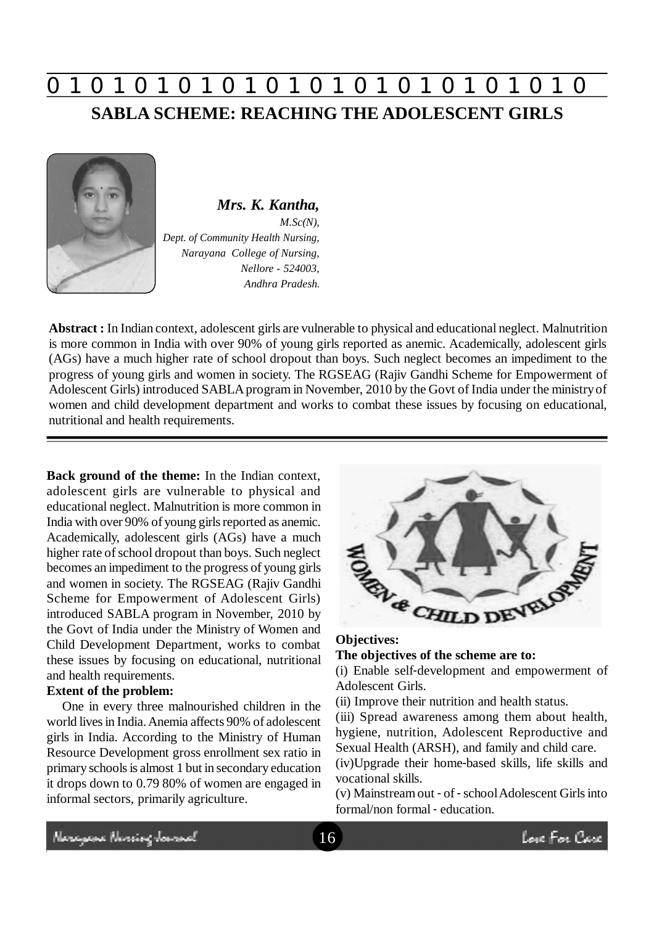# **0 z 0 z 0 z 0 z 0 z 0 z 0 z 0 z 0 z 0 z 0 z 0 z 0 SABLA SCHEME: REACHING THE ADOLESCENT GIRLS**



*Mrs. K. Kantha, M.Sc(N), Dept. of Community Health Nursing, Narayana College of Nursing, Nellore - 524003, Andhra Pradesh.*

**Abstract :** In Indian context, adolescent girls are vulnerable to physical and educational neglect. Malnutrition is more common in India with over 90% of young girls reported as anemic. Academically, adolescent girls (AGs) have a much higher rate of school dropout than boys. Such neglect becomes an impediment to the progress of young girls and women in society. The RGSEAG (Rajiv Gandhi Scheme for Empowerment of Adolescent Girls) introduced SABLA program in November, 2010 by the Govt of India under the ministry of women and child development department and works to combat these issues by focusing on educational, nutritional and health requirements.

**Back ground of the theme:** In the Indian context, adolescent girls are vulnerable to physical and educational neglect. Malnutrition is more common in India with over 90% of young girls reported as anemic. Academically, adolescent girls (AGs) have a much higher rate of school dropout than boys. Such neglect becomes an impediment to the progress of young girls and women in society. The RGSEAG (Rajiv Gandhi Scheme for Empowerment of Adolescent Girls) introduced SABLA program in November, 2010 by the Govt of India under the Ministry of Women and Child Development Department, works to combat these issues by focusing on educational, nutritional and health requirements.

#### **Extent of the problem:**

One in every three malnourished children in the world lives in India. Anemia affects 90% of adolescent girls in India. According to the Ministry of Human Resource Development gross enrollment sex ratio in primary schools is almost 1 but in secondary education it drops down to 0.79 80% of women are engaged in informal sectors, primarily agriculture.



# **Objectives:**

**The objectives of the scheme are to:**

(i) Enable self-development and empowerment of Adolescent Girls.

(ii) Improve their nutrition and health status.

(iii) Spread awareness among them about health, hygiene, nutrition, Adolescent Reproductive and Sexual Health (ARSH), and family and child care.

(iv)Upgrade their home-based skills, life skills and vocational skills.

(v) Mainstream out - of - school Adolescent Girls into formal/non formal - education.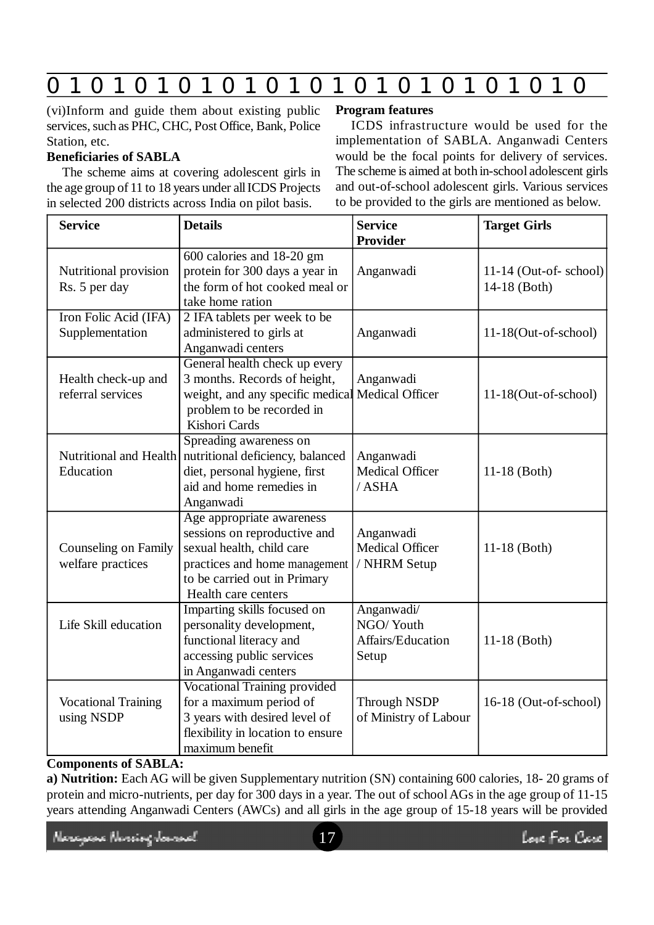# **0 z 0 z 0 z 0 z 0 z 0 z 0 z 0 z 0 z 0 z 0 z 0 z 0**

(vi)Inform and guide them about existing public services, such as PHC, CHC, Post Office, Bank, Police Station, etc.

## **Beneficiaries of SABLA**

The scheme aims at covering adolescent girls in the age group of 11 to 18 years under all ICDS Projects in selected 200 districts across India on pilot basis.

### **Program features**

ICDS infrastructure would be used for the implementation of SABLA. Anganwadi Centers would be the focal points for delivery of services. The scheme is aimed at both in-school adolescent girls and out-of-school adolescent girls. Various services to be provided to the girls are mentioned as below.

| <b>Service</b>                            | <b>Details</b>                                                                                                                                                                 | <b>Service</b><br><b>Provider</b>                     | <b>Target Girls</b>                     |  |  |
|-------------------------------------------|--------------------------------------------------------------------------------------------------------------------------------------------------------------------------------|-------------------------------------------------------|-----------------------------------------|--|--|
| Nutritional provision<br>Rs. 5 per day    | 600 calories and 18-20 gm<br>protein for 300 days a year in<br>the form of hot cooked meal or<br>take home ration                                                              | Anganwadi                                             | $11-14$ (Out-of-school)<br>14-18 (Both) |  |  |
| Iron Folic Acid (IFA)<br>Supplementation  | 2 IFA tablets per week to be<br>administered to girls at<br>Anganwadi centers                                                                                                  | Anganwadi                                             | $11-18$ (Out-of-school)                 |  |  |
| Health check-up and<br>referral services  | General health check up every<br>3 months. Records of height,<br>weight, and any specific medical Medical Officer<br>problem to be recorded in<br>Kishori Cards                | Anganwadi                                             | $11-18$ (Out-of-school)                 |  |  |
| Education                                 | Spreading awareness on<br>Nutritional and Health nutritional deficiency, balanced<br>diet, personal hygiene, first<br>aid and home remedies in<br>Anganwadi                    | Anganwadi<br>Medical Officer<br>/ASHA                 | $11-18$ (Both)                          |  |  |
| Counseling on Family<br>welfare practices | Age appropriate awareness<br>sessions on reproductive and<br>sexual health, child care<br>practices and home management<br>to be carried out in Primary<br>Health care centers | Anganwadi<br>Medical Officer<br>/ NHRM Setup          | $11-18$ (Both)                          |  |  |
| Life Skill education                      | Imparting skills focused on<br>personality development,<br>functional literacy and<br>accessing public services<br>in Anganwadi centers                                        | Anganwadi/<br>NGO/Youth<br>Affairs/Education<br>Setup | $11-18$ (Both)                          |  |  |
| <b>Vocational Training</b><br>using NSDP  | <b>Vocational Training provided</b><br>for a maximum period of<br>3 years with desired level of<br>flexibility in location to ensure<br>maximum benefit                        | <b>Through NSDP</b><br>of Ministry of Labour          | 16-18 (Out-of-school)                   |  |  |

## **Components of SABLA:**

**a) Nutrition:** Each AG will be given Supplementary nutrition (SN) containing 600 calories, 18- 20 grams of protein and micro-nutrients, per day for 300 days in a year. The out of school AGs in the age group of 11-15 years attending Anganwadi Centers (AWCs) and all girls in the age group of 15-18 years will be provided

Neregeae Norriog Jamach

Love For Care